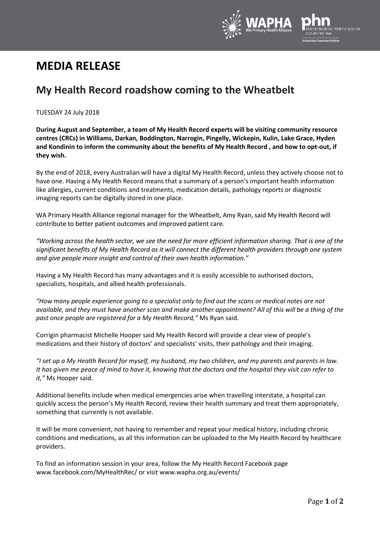

# **MEDIA RELEASE**

# **My Health Record roadshow coming to the Wheatbelt**

TUESDAY 24 July 2018

**During August and September, a team of My Health Record experts will be visiting community resource centres (CRCs) in Williams, Darkan, Boddington, Narrogin, Pingelly, Wickepin, Kulin, Lake Grace, Hyden and Kondinin to inform the community about the benefits of My Health Record , and how to opt-out, if they wish.**

By the end of 2018, every Australian will have a digital My Health Record, unless they actively choose not to have one. Having a My Health Record means that a summary of a person's important health information like allergies, current conditions and treatments, medication details, pathology reports or diagnostic imaging reports can be digitally stored in one place.

WA Primary Health Alliance regional manager for the Wheatbelt, Amy Ryan, said My Health Record will contribute to better patient outcomes and improved patient care.

*"Working across the health sector, we see the need for more efficient information sharing. That is one of the significant benefits of My Health Record as it will connect the different health providers through one system and give people more insight and control of their own health information."*

Having a My Health Record has many advantages and it is easily accessible to authorised doctors, specialists, hospitals, and allied health professionals.

*"How many people experience going to a specialist only to find out the scans or medical notes are not available, and they must have another scan and make another appointment? All of this will be a thing of the past once people are registered for a My Health Record,"* Ms Ryan said.

Corrigin pharmacist Michelle Hooper said My Health Record will provide a clear view of people's medications and their history of doctors' and specialists' visits, their pathology and their imaging.

*"I set up a My Health Record for myself, my husband, my two children, and my parents and parents in law. It has given me peace of mind to have it, knowing that the doctors and the hospital they visit can refer to it,"* Ms Hooper said.

Additional benefits include when medical emergencies arise when travelling interstate, a hospital can quickly access the person's My Health Record, review their health summary and treat them appropriately, something that currently is not available.

It will be more convenient, not having to remember and repeat your medical history, including chronic conditions and medications, as all this information can be uploaded to the My Health Record by healthcare providers.

To find an information session in your area, follow the My Health Record Facebook page [www.facebook.com/MyHealthRec/](http://www.facebook.com/MyHealthRec/) or visit [www.wapha.org.au/events/](http://www.wapha.org.au/events/)